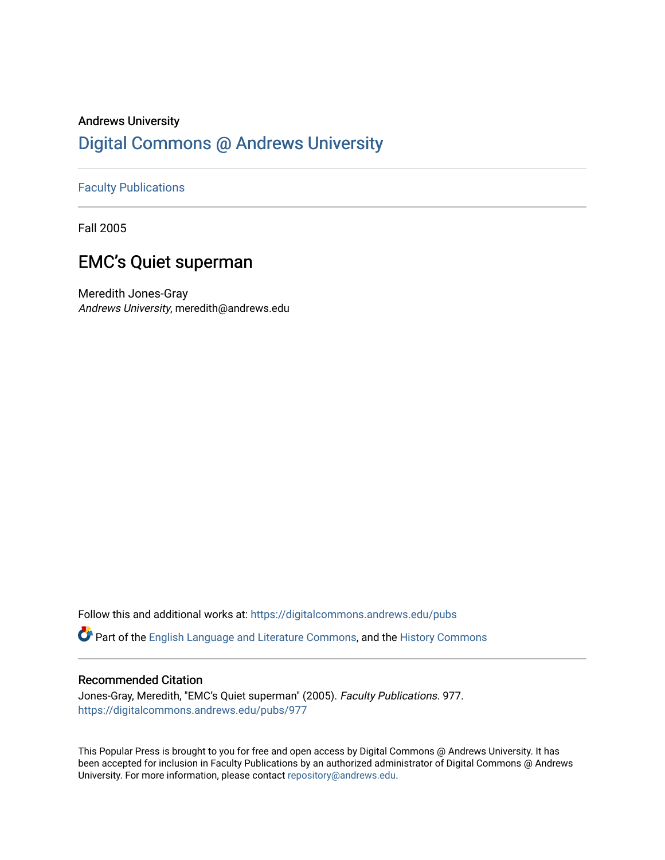### Andrews University [Digital Commons @ Andrews University](https://digitalcommons.andrews.edu/)

#### [Faculty Publications](https://digitalcommons.andrews.edu/pubs)

Fall 2005

#### EMC's Quiet superman

Meredith Jones-Gray Andrews University, meredith@andrews.edu

Follow this and additional works at: [https://digitalcommons.andrews.edu/pubs](https://digitalcommons.andrews.edu/pubs?utm_source=digitalcommons.andrews.edu%2Fpubs%2F977&utm_medium=PDF&utm_campaign=PDFCoverPages) 

Part of the [English Language and Literature Commons](http://network.bepress.com/hgg/discipline/455?utm_source=digitalcommons.andrews.edu%2Fpubs%2F977&utm_medium=PDF&utm_campaign=PDFCoverPages), and the [History Commons](http://network.bepress.com/hgg/discipline/489?utm_source=digitalcommons.andrews.edu%2Fpubs%2F977&utm_medium=PDF&utm_campaign=PDFCoverPages) 

#### Recommended Citation

Jones-Gray, Meredith, "EMC's Quiet superman" (2005). Faculty Publications. 977. [https://digitalcommons.andrews.edu/pubs/977](https://digitalcommons.andrews.edu/pubs/977?utm_source=digitalcommons.andrews.edu%2Fpubs%2F977&utm_medium=PDF&utm_campaign=PDFCoverPages) 

This Popular Press is brought to you for free and open access by Digital Commons @ Andrews University. It has been accepted for inclusion in Faculty Publications by an authorized administrator of Digital Commons @ Andrews University. For more information, please contact [repository@andrews.edu](mailto:repository@andrews.edu).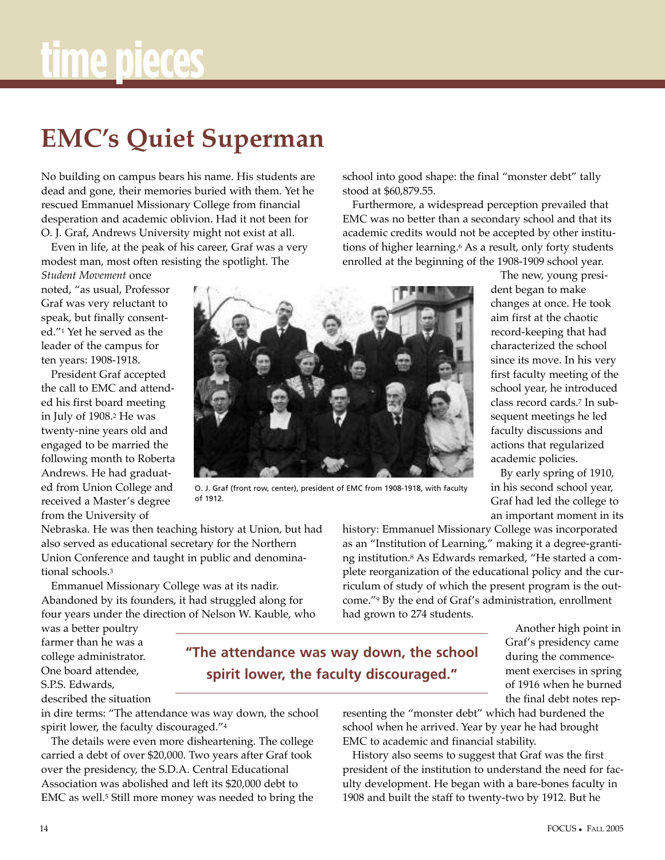## **EMC's Quiet superman**

No building on campus bears his name. His students are dead and gone, their memories buried with them. Yet he rescued Emmanuel Missionary College from financial desperation and academic oblivion. Had it not been for O. J. Graf, Andrews University might not exist at all.

Even in life, at the peak of his career, Graf was a very modest man, most often resisting the spotlight. The

*Student Movement* once noted, "as usual, Professor Graf was very reluctant to speak, but finally consented."1 Yet he served as the leader of the campus for ten years: 1908-1918.

President Graf accepted the call to EMC and attended his first board meeting in July of 1908.2 He was twenty-nine years old and engaged to be married the following month to Roberta Andrews. He had graduated from Union College and received a Master's degree from the University of



O. J. Graf (front row, center), president of EMC from 1908-1918, with faculty of 1912.

Nebraska. He was then teaching history at Union, but had also served as educational secretary for the Northern Union Conference and taught in public and denominational schools.3

Emmanuel Missionary College was at its nadir. Abandoned by its founders, it had struggled along for four years under the direction of Nelson W. Kauble, who

was a better poultry farmer than he was a college administrator. One board attendee, S.P.S. Edwards,

described the situation

in dire terms: "The attendance was way down, the school spirit lower, the faculty discouraged."4

The details were even more disheartening. The college carried a debt of over \$20,000. Two years after Graf took over the presidency, the S.D.A. Central Educational Association was abolished and left its \$20,000 debt to EMC as well.5 Still more money was needed to bring the

school into good shape: the final "monster debt" tally stood at \$60,879.55.

Furthermore, a widespread perception prevailed that EMC was no better than a secondary school and that its academic credits would not be accepted by other institutions of higher learning.<sup>6</sup> As a result, only forty students enrolled at the beginning of the 1908-1909 school year.

> The new, young president began to make changes at once. He took aim first at the chaotic record-keeping that had characterized the school since its move. In his very first faculty meeting of the school year, he introduced class record cards.7 In subsequent meetings he led faculty discussions and actions that regularized academic policies.

By early spring of 1910, in his second school year, Graf had led the college to an important moment in its

history: Emmanuel Missionary College was incorporated as an "Institution of Learning," making it a degree-granting institution.8 As Edwards remarked, "He started a complete reorganization of the educational policy and the curriculum of study of which the present program is the outcome."9 By the end of Graf's administration, enrollment had grown to 274 students.

> Another high point in Graf's presidency came during the commencement exercises in spring of 1916 when he burned the final debt notes rep-

**"The attendance was way down, the school spirit lower, the faculty discouraged."**

> resenting the "monster debt" which had burdened the school when he arrived. Year by year he had brought EMC to academic and financial stability.

History also seems to suggest that Graf was the first president of the institution to understand the need for faculty development. He began with a bare-bones faculty in 1908 and built the staff to twenty-two by 1912. But he